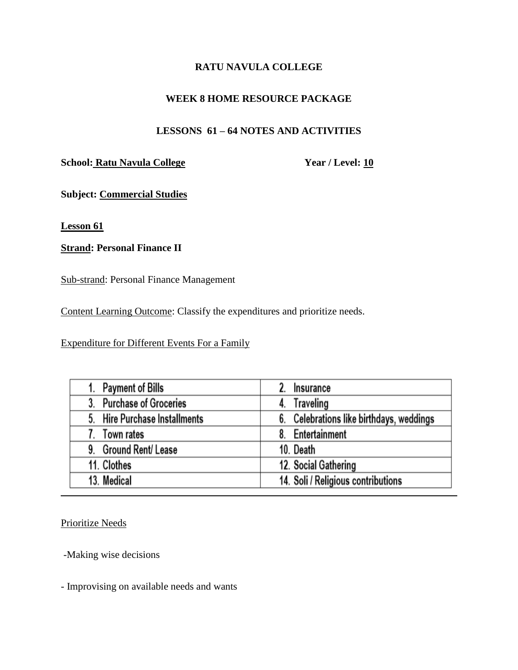# **RATU NAVULA COLLEGE**

# **WEEK 8 HOME RESOURCE PACKAGE**

# **LESSONS 61 – 64 NOTES AND ACTIVITIES**

# **School: Ratu Navula College** Year / Level: 10

**Subject: Commercial Studies** 

**Lesson 61**

# **Strand: Personal Finance II**

Sub-strand: Personal Finance Management

Content Learning Outcome: Classify the expenditures and prioritize needs.

Expenditure for Different Events For a Family

| <b>Payment of Bills</b>                 | Insurance                                |
|-----------------------------------------|------------------------------------------|
| <b>Purchase of Groceries</b><br>3.      | Traveling<br>4.                          |
| <b>Hire Purchase Installments</b><br>5. | 6. Celebrations like birthdays, weddings |
| Town rates                              | 8. Entertainment                         |
| 9. Ground Rent/Lease                    | 10. Death                                |
| 11. Clothes                             | 12. Social Gathering                     |
| 13. Medical                             | 14. Soli / Religious contributions       |

Prioritize Needs

-Making wise decisions

- Improvising on available needs and wants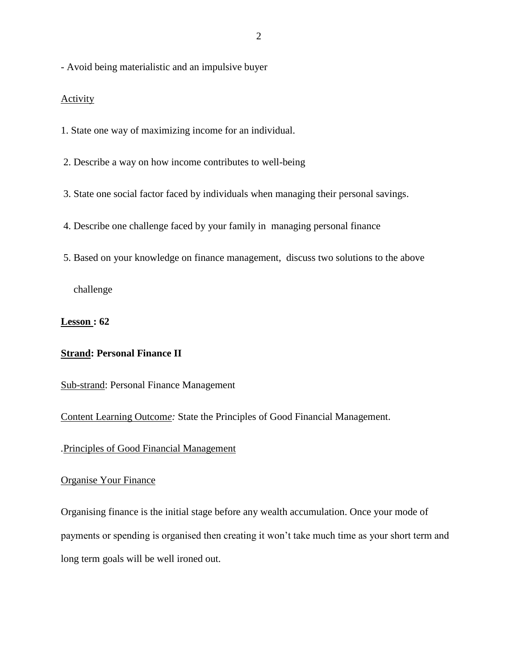- Avoid being materialistic and an impulsive buyer

### **Activity**

1. State one way of maximizing income for an individual.

2. Describe a way on how income contributes to well-being

3. State one social factor faced by individuals when managing their personal savings.

4. Describe one challenge faced by your family in managing personal finance

5. Based on your knowledge on finance management, discuss two solutions to the above

challenge

**Lesson : 62**

### **Strand: Personal Finance II**

Sub-strand: Personal Finance Management

Content Learning Outcom*e:* State the Principles of Good Financial Management.

*.*Principles of Good Financial Management

### Organise Your Finance

Organising finance is the initial stage before any wealth accumulation. Once your mode of payments or spending is organised then creating it won't take much time as your short term and long term goals will be well ironed out.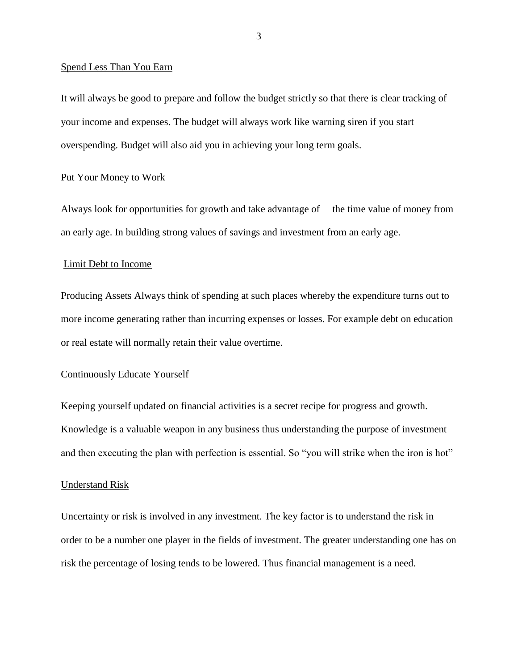#### Spend Less Than You Earn

It will always be good to prepare and follow the budget strictly so that there is clear tracking of your income and expenses. The budget will always work like warning siren if you start overspending. Budget will also aid you in achieving your long term goals.

#### Put Your Money to Work

Always look for opportunities for growth and take advantage of the time value of money from an early age. In building strong values of savings and investment from an early age.

#### Limit Debt to Income

Producing Assets Always think of spending at such places whereby the expenditure turns out to more income generating rather than incurring expenses or losses. For example debt on education or real estate will normally retain their value overtime.

#### Continuously Educate Yourself

Keeping yourself updated on financial activities is a secret recipe for progress and growth. Knowledge is a valuable weapon in any business thus understanding the purpose of investment and then executing the plan with perfection is essential. So "you will strike when the iron is hot"

#### Understand Risk

Uncertainty or risk is involved in any investment. The key factor is to understand the risk in order to be a number one player in the fields of investment. The greater understanding one has on risk the percentage of losing tends to be lowered. Thus financial management is a need.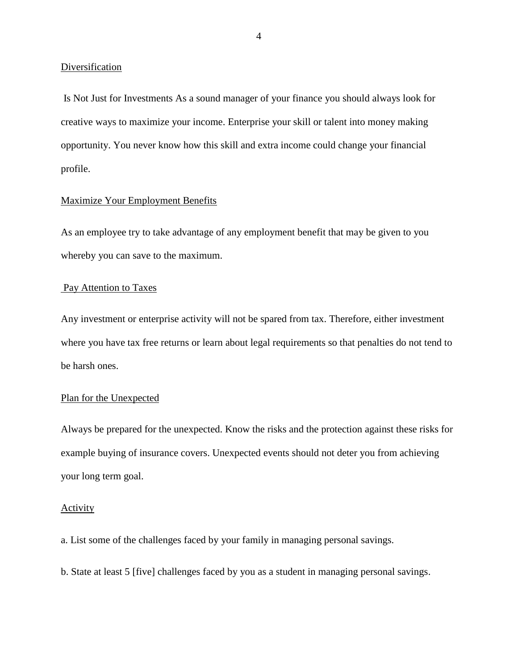### Diversification

Is Not Just for Investments As a sound manager of your finance you should always look for creative ways to maximize your income. Enterprise your skill or talent into money making opportunity. You never know how this skill and extra income could change your financial profile.

### Maximize Your Employment Benefits

As an employee try to take advantage of any employment benefit that may be given to you whereby you can save to the maximum.

### Pay Attention to Taxes

Any investment or enterprise activity will not be spared from tax. Therefore, either investment where you have tax free returns or learn about legal requirements so that penalties do not tend to be harsh ones.

### Plan for the Unexpected

Always be prepared for the unexpected. Know the risks and the protection against these risks for example buying of insurance covers. Unexpected events should not deter you from achieving your long term goal.

#### **Activity**

a. List some of the challenges faced by your family in managing personal savings.

b. State at least 5 [five] challenges faced by you as a student in managing personal savings.

4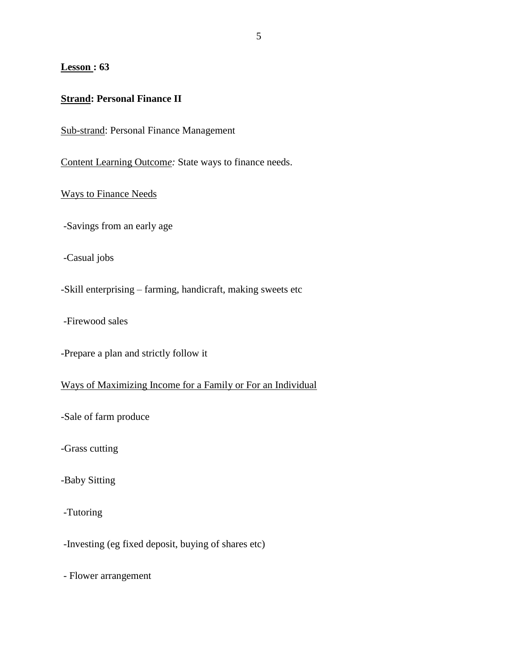### **Lesson : 63**

### **Strand: Personal Finance II**

Sub-strand: Personal Finance Management

Content Learning Outcom*e:* State ways to finance needs.

Ways to Finance Needs

-Savings from an early age

-Casual jobs

-Skill enterprising – farming, handicraft, making sweets etc

-Firewood sales

-Prepare a plan and strictly follow it

Ways of Maximizing Income for a Family or For an Individual

-Sale of farm produce

-Grass cutting

-Baby Sitting

-Tutoring

-Investing (eg fixed deposit, buying of shares etc)

- Flower arrangement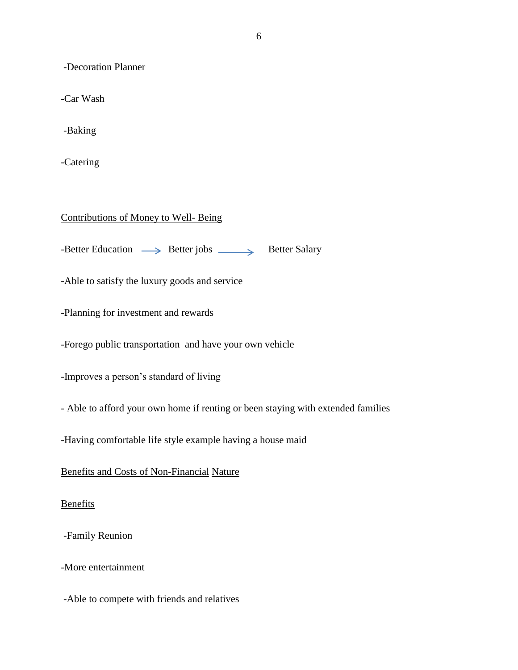-Decoration Planner

-Car Wash

-Baking

-Catering

## Contributions of Money to Well- Being

 $-$ Better Education  $\longrightarrow$  Better jobs  $\longrightarrow$  Better Salary

-Able to satisfy the luxury goods and service

-Planning for investment and rewards

-Forego public transportation and have your own vehicle

-Improves a person's standard of living

- Able to afford your own home if renting or been staying with extended families

-Having comfortable life style example having a house maid

Benefits and Costs of Non-Financial Nature

Benefits

-Family Reunion

-More entertainment

-Able to compete with friends and relatives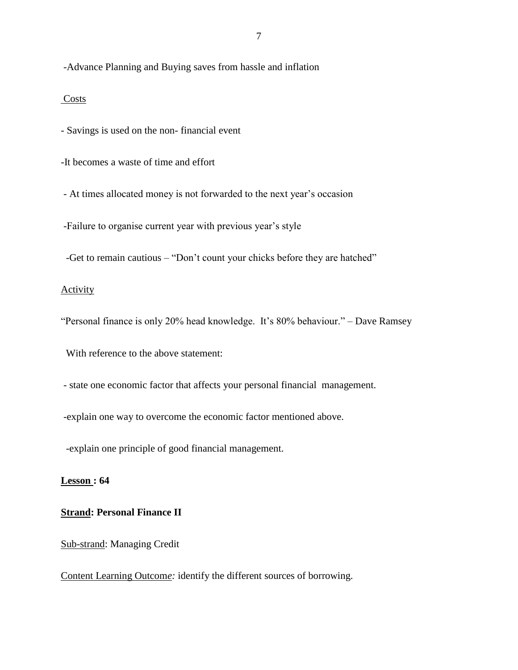-Advance Planning and Buying saves from hassle and inflation

### Costs

- Savings is used on the non- financial event

-It becomes a waste of time and effort

- At times allocated money is not forwarded to the next year's occasion

-Failure to organise current year with previous year's style

-Get to remain cautious – "Don't count your chicks before they are hatched"

### **Activity**

"Personal finance is only 20% head knowledge. It's 80% behaviour." – Dave Ramsey

With reference to the above statement:

- state one economic factor that affects your personal financial management.

-explain one way to overcome the economic factor mentioned above.

-explain one principle of good financial management.

### **Lesson : 64**

### **Strand: Personal Finance II**

Sub-strand: Managing Credit

Content Learning Outcom*e:* identify the different sources of borrowing.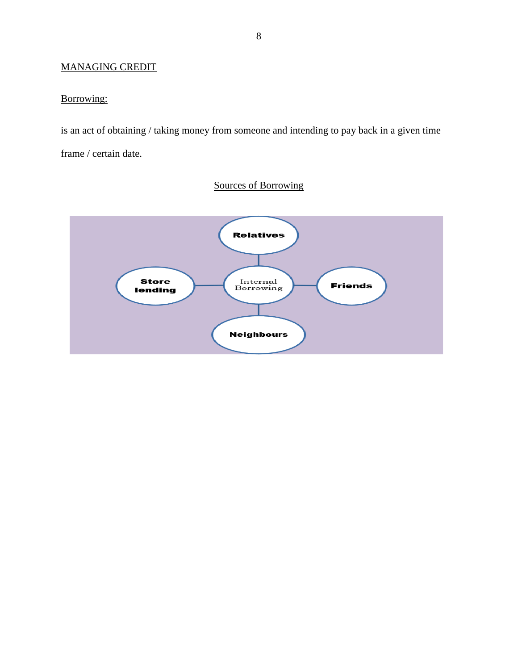# MANAGING CREDIT

# Borrowing:

is an act of obtaining / taking money from someone and intending to pay back in a given time frame / certain date.

# Sources of Borrowing

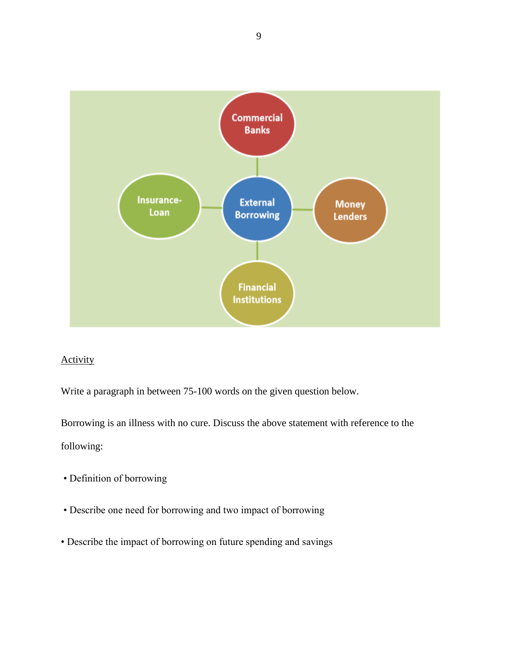

# Activity

Write a paragraph in between 75-100 words on the given question below.

Borrowing is an illness with no cure. Discuss the above statement with reference to the following:

- Definition of borrowing
- Describe one need for borrowing and two impact of borrowing
- Describe the impact of borrowing on future spending and savings